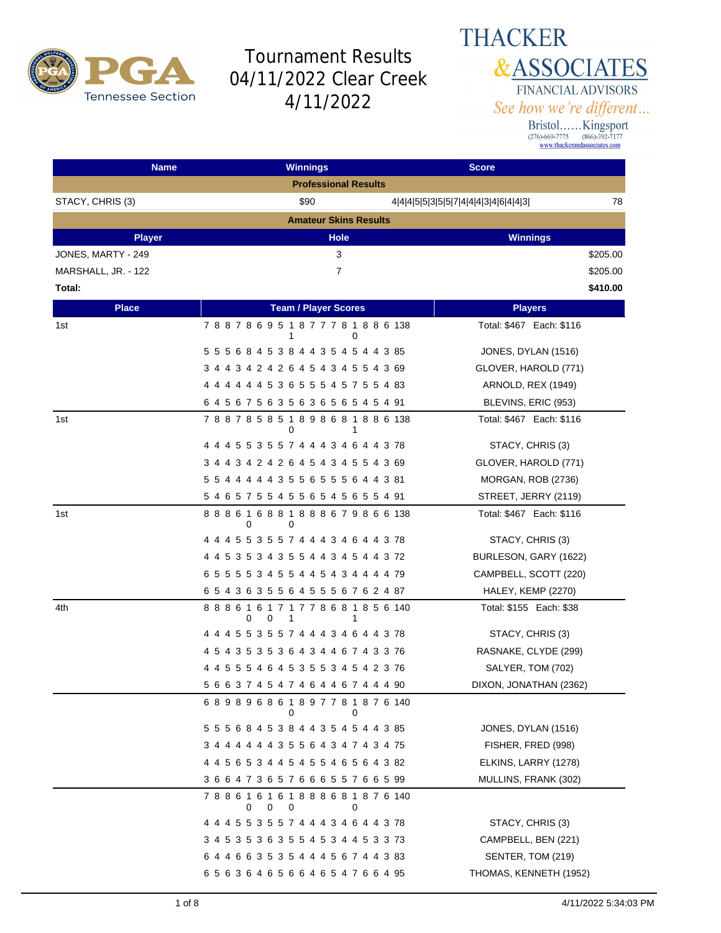

#### **THACKER &ASSOCIATES** FINANCIAL ADVISORS See how we're different...

| <b>Name</b>         | <b>Winnings</b>                                             | <b>Score</b>                              |
|---------------------|-------------------------------------------------------------|-------------------------------------------|
|                     | <b>Professional Results</b>                                 |                                           |
| STACY, CHRIS (3)    | \$90                                                        | 78<br>4 4 4 5 5 3 5 5 7 4 4 4 3 4 6 4 4 3 |
|                     | <b>Amateur Skins Results</b>                                |                                           |
| <b>Player</b>       | <b>Hole</b>                                                 | <b>Winnings</b>                           |
| JONES, MARTY - 249  | 3                                                           | \$205.00                                  |
| MARSHALL, JR. - 122 | $\overline{7}$                                              | \$205.00                                  |
| Total:              |                                                             | \$410.00                                  |
| <b>Place</b>        | <b>Team / Player Scores</b>                                 | <b>Players</b>                            |
| 1st                 | 788786951877781886138<br>1<br>0                             | Total: \$467 Each: \$116                  |
|                     | 5 5 5 6 8 4 5 3 8 4 4 3 5 4 5 4 4 3 85                      | JONES, DYLAN (1516)                       |
|                     | 3 4 4 3 4 2 4 2 6 4 5 4 3 4 5 5 4 3 69                      | GLOVER, HAROLD (771)                      |
|                     | 4 4 4 4 4 4 5 3 6 5 5 5 4 5 7 5 5 4 83                      | ARNOLD, REX (1949)                        |
|                     | 6 4 5 6 7 5 6 3 5 6 3 6 5 6 5 4 5 4 91                      | BLEVINS, ERIC (953)                       |
| 1st                 | 788785851898681886138<br>0<br>1                             | Total: \$467 Each: \$116                  |
|                     | 4 4 4 5 5 3 5 5 7 4 4 4 3 4 6 4 4 3 78                      | STACY, CHRIS (3)                          |
|                     | 3 4 4 3 4 2 4 2 6 4 5 4 3 4 5 5 4 3 69                      | GLOVER, HAROLD (771)                      |
|                     | 5 5 4 4 4 4 4 3 5 5 6 5 5 5 6 4 4 3 81                      | MORGAN, ROB (2736)                        |
|                     | 5 4 6 5 7 5 5 4 5 5 6 5 4 5 6 5 5 4 91                      | STREET, JERRY (2119)                      |
| 1st                 | 8 8 8 6 1 6 8 8 1 8 8 8 6 7 9 8 6 6 138<br>0<br>0           | Total: \$467 Each: \$116                  |
|                     | 4 4 4 5 5 3 5 5 7 4 4 4 3 4 6 4 4 3 78                      | STACY, CHRIS (3)                          |
|                     | 4 4 5 3 5 3 4 3 5 5 4 4 3 4 5 4 4 3 72                      | BURLESON, GARY (1622)                     |
|                     | 6 5 5 5 5 3 4 5 5 4 4 5 4 3 4 4 4 4 79                      | CAMPBELL, SCOTT (220)                     |
|                     | 6 5 4 3 6 3 5 5 6 4 5 5 5 6 7 6 2 4 87                      | HALEY, KEMP (2270)                        |
| 4th                 | 8 8 8 6 1 6 1 7 1 7 7 8 6 8 1 8 5 6 140<br>0<br>0<br>1<br>1 | Total: \$155 Each: \$38                   |
|                     | 4 4 4 5 5 3 5 5 7 4 4 4 3 4 6 4 4 3 78                      | STACY, CHRIS (3)                          |
|                     | 4 5 4 3 5 3 5 3 6 4 3 4 4 6 7 4 3 3 76                      | RASNAKE, CLYDE (299)                      |
|                     | 4 4 5 5 5 4 6 4 5 3 5 5 3 4 5 4 2 3 76                      | SALYER, TOM (702)                         |
|                     | 5 6 6 3 7 4 5 4 7 4 6 4 4 6 7 4 4 4 90                      | DIXON, JONATHAN (2362)                    |
|                     | 689896861897781876140<br>0<br>0                             |                                           |
|                     | 5 5 5 6 8 4 5 3 8 4 4 3 5 4 5 4 4 3 85                      | JONES, DYLAN (1516)                       |
|                     | 3 4 4 4 4 4 4 3 5 5 6 4 3 4 7 4 3 4 75                      | FISHER, FRED (998)                        |
|                     | 4 4 5 6 5 3 4 4 5 4 5 5 4 6 5 6 4 3 82                      | ELKINS, LARRY (1278)                      |
|                     | 36647365766655766599                                        | MULLINS, FRANK (302)                      |
|                     | 7 8 8 6 1 6 1 6 1 8 8 8 6 8 1 8 7 6 140<br>0<br>0<br>0<br>0 |                                           |
|                     | 4 4 4 5 5 3 5 5 7 4 4 4 3 4 6 4 4 3 78                      | STACY, CHRIS (3)                          |
|                     | 3 4 5 3 5 3 6 3 5 5 4 5 3 4 4 5 3 3 73                      | CAMPBELL, BEN (221)                       |
|                     | 6 4 4 6 6 3 5 3 5 4 4 4 5 6 7 4 4 3 83                      | SENTER, TOM (219)                         |
|                     | 6 5 6 3 6 4 6 5 6 6 4 6 5 4 7 6 6 4 95                      | THOMAS, KENNETH (1952)                    |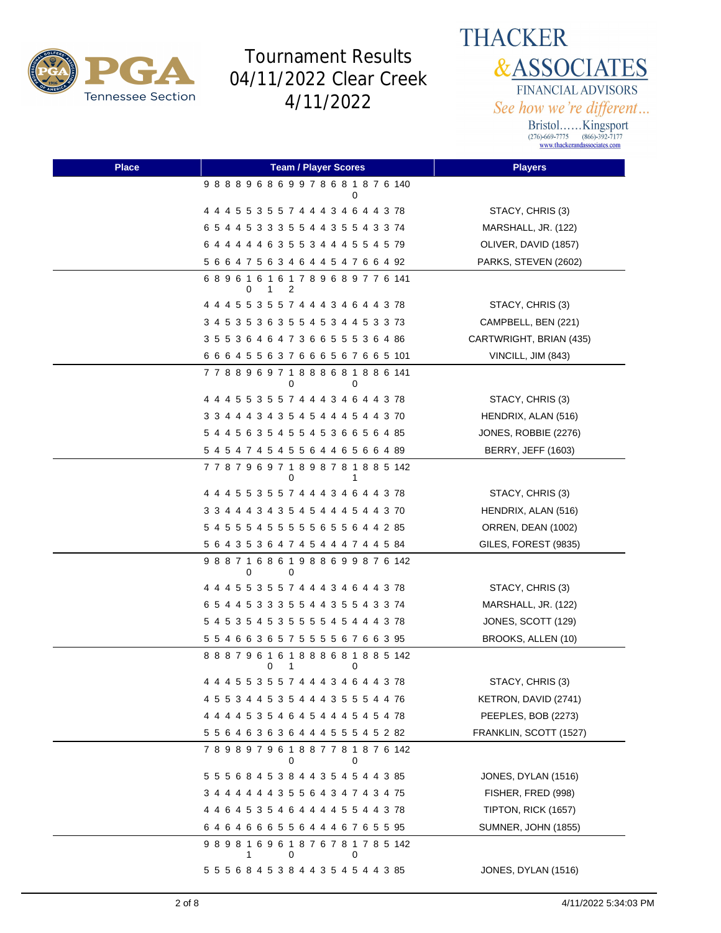

**THACKER &ASSOCIATES** FINANCIAL ADVISORS See how we're different...

| <b>Place</b> | <b>Team / Player Scores</b>                                       | <b>Players</b>             |
|--------------|-------------------------------------------------------------------|----------------------------|
|              | 988896869978681876140<br>0                                        |                            |
|              | 4 4 4 5 5 3 5 5 7 4 4 4 3 4 6 4 4 3 78                            | STACY, CHRIS (3)           |
|              | 6 5 4 4 5 3 3 3 5 5 4 4 3 5 5 4 3 3 74                            | MARSHALL, JR. (122)        |
|              | 6 4 4 4 4 4 6 3 5 5 3 4 4 4 5 5 4 5 79                            | OLIVER, DAVID (1857)       |
|              | 5 6 6 4 7 5 6 3 4 6 4 4 5 4 7 6 6 4 92                            | PARKS, STEVEN (2602)       |
|              | 6 8 9 6 1 6 1 6 1 7 8 9 6 8 9 7 7 6 141<br>0<br>$\mathbf{1}$<br>2 |                            |
|              | 4 4 4 5 5 3 5 5 7 4 4 4 3 4 6 4 4 3 78                            | STACY, CHRIS (3)           |
|              | 3 4 5 3 5 3 6 3 5 5 4 5 3 4 4 5 3 3 73                            | CAMPBELL, BEN (221)        |
|              | 3 5 5 3 6 4 6 4 7 3 6 6 5 5 5 3 6 4 86                            | CARTWRIGHT, BRIAN (435)    |
|              | 6 6 6 4 5 5 6 3 7 6 6 6 5 6 7 6 6 5 101                           | VINCILL, JIM (843)         |
|              | 7 7 8 8 9 6 9 7 1 8 8 8 6 8 1 8 8 6 141<br>0<br>0                 |                            |
|              | 4 4 4 5 5 3 5 5 7 4 4 4 3 4 6 4 4 3 78                            | STACY, CHRIS (3)           |
|              | 3 3 4 4 4 3 4 3 5 4 5 4 4 4 5 4 4 3 70                            | HENDRIX, ALAN (516)        |
|              | 5 4 4 5 6 3 5 4 5 5 4 5 3 6 6 5 6 4 85                            | JONES, ROBBIE (2276)       |
|              | 5 4 5 4 7 4 5 4 5 5 6 4 4 6 5 6 6 4 89                            | <b>BERRY, JEFF (1603)</b>  |
|              | 7 7 8 7 9 6 9 7 1 8 9 8 7 8 1 8 8 5 142<br>0                      |                            |
|              | 4 4 4 5 5 3 5 5 7 4 4 4 3 4 6 4 4 3 78                            | STACY, CHRIS (3)           |
|              | 3 3 4 4 4 3 4 3 5 4 5 4 4 4 5 4 4 3 70                            | HENDRIX, ALAN (516)        |
|              | 5 4 5 5 5 4 5 5 5 5 5 6 5 5 6 4 4 2 85                            | ORREN, DEAN (1002)         |
|              | 5 6 4 3 5 3 6 4 7 4 5 4 4 4 7 4 4 5 84                            | GILES, FOREST (9835)       |
|              | 988716861988699876142<br>0<br>0                                   |                            |
|              | 4 4 4 5 5 3 5 5 7 4 4 4 3 4 6 4 4 3 78                            | STACY, CHRIS (3)           |
|              | 6 5 4 4 5 3 3 3 5 5 4 4 3 5 5 4 3 3 74                            | MARSHALL, JR. (122)        |
|              | 5 4 5 3 5 4 5 3 5 5 5 5 4 5 4 4 4 3 78                            | JONES, SCOTT (129)         |
|              | 5 5 4 6 6 3 6 5 7 5 5 5 5 6 7 6 6 3 95                            | BROOKS, ALLEN (10)         |
|              | 8 8 8 7 9 6 1 6 1 8 8 8 6 8 1 8 8 5 142<br>0<br>1<br>0            |                            |
|              |                                                                   | STACY, CHRIS (3)           |
|              | 4 5 5 3 4 4 5 3 5 4 4 4 3 5 5 5 4 4 76                            | KETRON, DAVID (2741)       |
|              | 4 4 4 4 5 3 5 4 6 4 5 4 4 4 5 4 5 4 78                            | PEEPLES, BOB (2273)        |
|              | 5 5 6 4 6 3 6 3 6 4 4 4 5 5 5 4 5 2 82                            | FRANKLIN, SCOTT (1527)     |
|              | 789897961887781876142<br>0<br>0                                   |                            |
|              | 5 5 5 6 8 4 5 3 8 4 4 3 5 4 5 4 4 3 85                            | JONES, DYLAN (1516)        |
|              | 3 4 4 4 4 4 4 3 5 5 6 4 3 4 7 4 3 4 75                            | FISHER, FRED (998)         |
|              |                                                                   | TIPTON, RICK (1657)        |
|              | 64646665564446765595                                              | <b>SUMNER, JOHN (1855)</b> |
|              | 9 8 9 8 1 6 9 6 1 8 7 6 7 8 1 7 8 5 142<br>0<br>0                 |                            |
|              | 5 5 5 6 8 4 5 3 8 4 4 3 5 4 5 4 4 3 85                            | JONES, DYLAN (1516)        |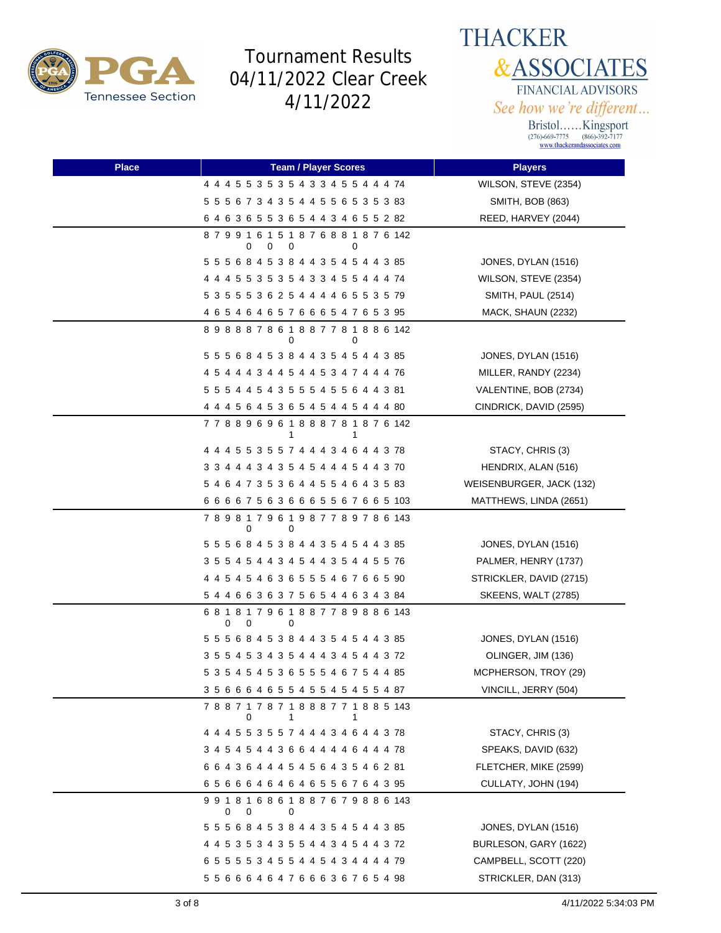



| <b>Place</b> | <b>Team / Player Scores</b>               | <b>Players</b>             |
|--------------|-------------------------------------------|----------------------------|
|              | 4 4 4 5 5 3 5 3 5 4 3 3 4 5 5 4 4 4 74    | WILSON, STEVE (2354)       |
|              | 5 5 5 6 7 3 4 3 5 4 4 5 5 6 5 3 5 3 83    | SMITH, BOB (863)           |
|              | 6 4 6 3 6 5 5 3 6 5 4 4 3 4 6 5 5 2 82    | REED, HARVEY (2044)        |
|              | 879916151876881876142<br>0<br>0<br>0<br>0 |                            |
|              | 5 5 5 6 8 4 5 3 8 4 4 3 5 4 5 4 4 3 85    | JONES, DYLAN (1516)        |
|              | 4 4 4 5 5 3 5 3 5 4 3 3 4 5 5 4 4 4 74    | WILSON, STEVE (2354)       |
|              | 5 3 5 5 5 3 6 2 5 4 4 4 4 6 5 5 3 5 79    | SMITH, PAUL (2514)         |
|              | 4 6 5 4 6 4 6 5 7 6 6 6 5 4 7 6 5 3 95    | MACK, SHAUN (2232)         |
|              | 898887861887781886142<br>0<br>0           |                            |
|              | 5 5 5 6 8 4 5 3 8 4 4 3 5 4 5 4 4 3 85    | JONES, DYLAN (1516)        |
|              | 4 5 4 4 4 3 4 4 5 4 4 5 3 4 7 4 4 4 76    | MILLER, RANDY (2234)       |
|              | 5 5 5 4 4 5 4 3 5 5 5 4 5 5 6 4 4 3 81    | VALENTINE, BOB (2734)      |
|              | 4 4 4 5 6 4 5 3 6 5 4 5 4 4 5 4 4 4 80    | CINDRICK, DAVID (2595)     |
|              | 778896961888781876142<br>1                |                            |
|              | 4 4 4 5 5 3 5 5 7 4 4 4 3 4 6 4 4 3 78    | STACY, CHRIS (3)           |
|              | 3 3 4 4 4 3 4 3 5 4 5 4 4 4 5 4 4 3 70    | HENDRIX, ALAN (516)        |
|              | 5 4 6 4 7 3 5 3 6 4 4 5 5 4 6 4 3 5 83    | WEISENBURGER, JACK (132)   |
|              | 6 6 6 6 7 5 6 3 6 6 6 5 5 6 7 6 6 5 103   | MATTHEWS, LINDA (2651)     |
|              | 789817961987789786143<br>0<br>0           |                            |
|              | 5 5 5 6 8 4 5 3 8 4 4 3 5 4 5 4 4 3 85    | JONES, DYLAN (1516)        |
|              | 3 5 5 4 5 4 4 3 4 5 4 4 3 5 4 4 5 5 76    | PALMER, HENRY (1737)       |
|              | 4 4 5 4 5 4 6 3 6 5 5 5 4 6 7 6 6 5 90    | STRICKLER, DAVID (2715)    |
|              | 5 4 4 6 6 3 6 3 7 5 6 5 4 4 6 3 4 3 84    | <b>SKEENS, WALT (2785)</b> |
|              | 681817961887789886143<br>0<br>0<br>0      |                            |
|              | 5 5 5 6 8 4 5 3 8 4 4 3 5 4 5 4 4 3 85    | JONES, DYLAN (1516)        |
|              | 3 5 5 4 5 3 4 3 5 4 4 4 3 4 5 4 4 3 72    | OLINGER, JIM (136)         |
|              | 5 3 5 4 5 4 5 3 6 5 5 5 4 6 7 5 4 4 85    | MCPHERSON, TROY (29)       |
|              | 3 5 6 6 6 4 6 5 5 4 5 5 4 5 4 5 5 4 87    | VINCILL, JERRY (504)       |
|              | 788717871888771885143<br>0<br>1<br>1      |                            |
|              | 4 4 4 5 5 3 5 5 7 4 4 4 3 4 6 4 4 3 78    | STACY, CHRIS (3)           |
|              | 3 4 5 4 5 4 4 3 6 6 4 4 4 4 6 4 4 4 78    | SPEAKS, DAVID (632)        |
|              | 6 6 4 3 6 4 4 4 5 4 5 6 4 3 5 4 6 2 81    | FLETCHER, MIKE (2599)      |
|              | 65666464646556764395                      | CULLATY, JOHN (194)        |
|              | 991816861887679886143<br>0<br>0<br>0      |                            |
|              | 5 5 5 6 8 4 5 3 8 4 4 3 5 4 5 4 4 3 85    | JONES, DYLAN (1516)        |
|              | 4 4 5 3 5 3 4 3 5 5 4 4 3 4 5 4 4 3 72    | BURLESON, GARY (1622)      |
|              | 6 5 5 5 5 3 4 5 5 4 4 5 4 3 4 4 4 4 79    | CAMPBELL, SCOTT (220)      |
|              | 5 5 6 6 6 4 6 4 7 6 6 6 3 6 7 6 5 4 98    | STRICKLER, DAN (313)       |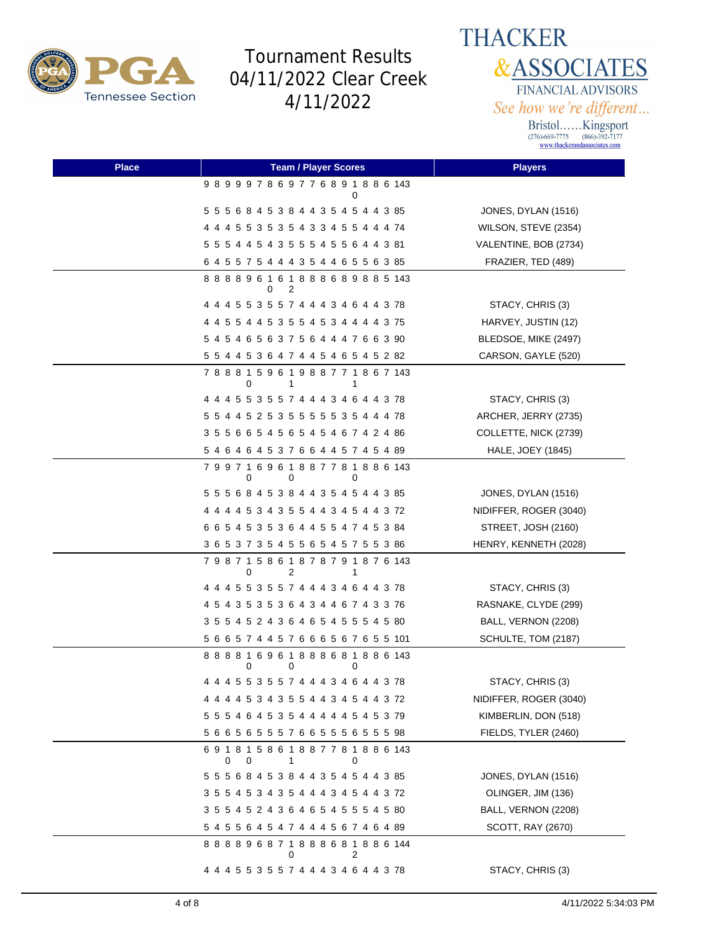

**THACKER &ASSOCIATES** FINANCIAL ADVISORS See how we're different...

| <b>Place</b> | <b>Team / Player Scores</b>                            | <b>Players</b>         |
|--------------|--------------------------------------------------------|------------------------|
|              | 989997869776891886143<br>0                             |                        |
|              | 5 5 5 6 8 4 5 3 8 4 4 3 5 4 5 4 4 3 85                 | JONES, DYLAN (1516)    |
|              | 4 4 4 5 5 3 5 3 5 4 3 3 4 5 5 4 4 4 74                 | WILSON, STEVE (2354)   |
|              | 5 5 5 4 4 5 4 3 5 5 5 4 5 5 6 4 4 3 81                 | VALENTINE, BOB (2734)  |
|              | 6 4 5 5 7 5 4 4 4 3 5 4 4 6 5 5 6 3 85                 | FRAZIER, TED (489)     |
|              | 8 8 8 8 9 6 1 6 1 8 8 8 6 8 9 8 8 5 143<br>2<br>0      |                        |
|              | 4 4 4 5 5 3 5 5 7 4 4 4 3 4 6 4 4 3 78                 | STACY, CHRIS (3)       |
|              | 4 4 5 5 4 4 5 3 5 5 4 5 3 4 4 4 4 3 75                 | HARVEY, JUSTIN (12)    |
|              | 5 4 5 4 6 5 6 3 7 5 6 4 4 4 7 6 6 3 90                 | BLEDSOE, MIKE (2497)   |
|              | 5 5 4 4 5 3 6 4 7 4 4 5 4 6 5 4 5 2 82                 | CARSON, GAYLE (520)    |
|              | 7 8 8 8 1 5 9 6 1 9 8 8 7 7 1 8 6 7 143<br>0<br>1<br>1 |                        |
|              | 4 4 4 5 5 3 5 5 7 4 4 4 3 4 6 4 4 3 78                 | STACY, CHRIS (3)       |
|              | 5 5 4 4 5 2 5 3 5 5 5 5 5 5 3 5 4 4 4 78               | ARCHER, JERRY (2735)   |
|              | 3 5 5 6 6 5 4 5 6 5 4 5 4 6 7 4 2 4 86                 | COLLETTE, NICK (2739)  |
|              | 5 4 6 4 6 4 5 3 7 6 6 4 4 5 7 4 5 4 89                 | HALE, JOEY (1845)      |
|              | 799716961887781886143<br>0<br>0<br>0                   |                        |
|              | 5 5 5 6 8 4 5 3 8 4 4 3 5 4 5 4 4 3 85                 | JONES, DYLAN (1516)    |
|              | 4 4 4 4 5 3 4 3 5 5 4 4 3 4 5 4 4 3 72                 | NIDIFFER, ROGER (3040) |
|              | 6 6 5 4 5 3 5 3 6 4 4 5 5 4 7 4 5 3 84                 | STREET, JOSH (2160)    |
|              | 3 6 5 3 7 3 5 4 5 5 6 5 4 5 7 5 5 3 86                 | HENRY, KENNETH (2028)  |
|              | 7 9 8 7 1 5 8 6 1 8 7 8 7 9 1 8 7 6 143<br>0<br>2<br>1 |                        |
|              | 4 4 4 5 5 3 5 5 7 4 4 4 3 4 6 4 4 3 78                 | STACY, CHRIS (3)       |
|              | 4 5 4 3 5 3 5 3 6 4 3 4 4 6 7 4 3 3 76                 | RASNAKE, CLYDE (299)   |
|              | 3 5 5 4 5 2 4 3 6 4 6 5 4 5 5 5 4 5 80                 | BALL, VERNON (2208)    |
|              | 5 6 6 5 7 4 4 5 7 6 6 6 5 6 7 6 5 5 101                | SCHULTE, TOM (2187)    |
|              | 8 8 8 8 1 6 9 6 1 8 8 8 6 8 1 8 8 6 143<br>0<br>0<br>0 |                        |
|              | 4 4 4 5 5 3 5 5 7 4 4 4 3 4 6 4 4 3 78                 | STACY, CHRIS (3)       |
|              | 4 4 4 4 5 3 4 3 5 5 4 4 3 4 5 4 4 3 72                 | NIDIFFER, ROGER (3040) |
|              | 5 5 5 4 6 4 5 3 5 4 4 4 4 4 5 4 5 3 79                 | KIMBERLIN, DON (518)   |
|              | 5 6 6 5 6 5 5 5 7 6 6 5 5 5 6 5 5 5 98                 | FIELDS, TYLER (2460)   |
|              | 691815861887781886143<br>0<br>0<br>1<br>0              |                        |
|              | 5 5 5 6 8 4 5 3 8 4 4 3 5 4 5 4 4 3 85                 | JONES, DYLAN (1516)    |
|              | 3 5 5 4 5 3 4 3 5 4 4 4 3 4 5 4 4 3 72                 | OLINGER, JIM (136)     |
|              | 3 5 5 4 5 2 4 3 6 4 6 5 4 5 5 5 4 5 80                 | BALL, VERNON (2208)    |
|              | 5 4 5 5 6 4 5 4 7 4 4 4 5 6 7 4 6 4 89                 | SCOTT, RAY (2670)      |
|              | 8 8 8 8 9 6 8 7 1 8 8 8 6 8 1 8 8 6 144<br>0<br>2      |                        |
|              | 4 4 4 5 5 3 5 5 7 4 4 4 3 4 6 4 4 3 78                 | STACY, CHRIS (3)       |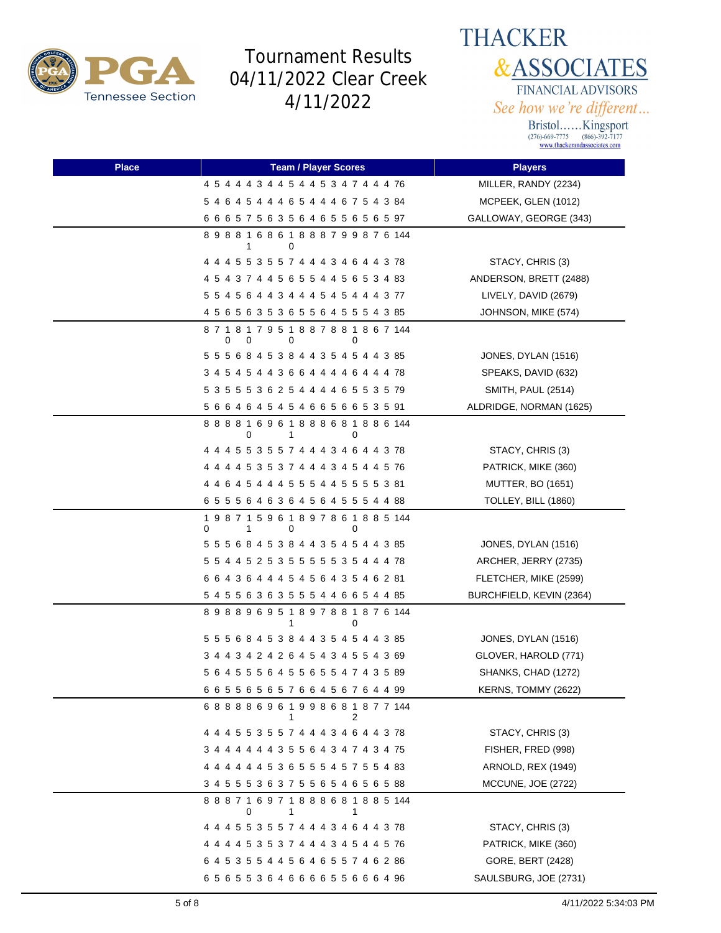



| <b>Place</b> | <b>Team / Player Scores</b>                                 | <b>Players</b>           |
|--------------|-------------------------------------------------------------|--------------------------|
|              | 4 5 4 4 4 3 4 4 5 4 4 5 3 4 7 4 4 4 76                      | MILLER, RANDY (2234)     |
|              | 5 4 6 4 5 4 4 4 6 5 4 4 4 6 7 5 4 3 84                      | MCPEEK, GLEN (1012)      |
|              | 6 6 6 5 7 5 6 3 5 6 4 6 5 5 6 5 6 5 97                      | GALLOWAY, GEORGE (343)   |
|              | 898816861888799876144<br>0<br>1                             |                          |
|              | 4 4 4 5 5 3 5 5 7 4 4 4 3 4 6 4 4 3 78                      | STACY, CHRIS (3)         |
|              | 4 5 4 3 7 4 4 5 6 5 5 4 4 5 6 5 3 4 83                      | ANDERSON, BRETT (2488)   |
|              | 5 5 4 5 6 4 4 3 4 4 4 5 4 5 4 4 4 3 77                      | LIVELY, DAVID (2679)     |
|              | 4 5 6 5 6 3 5 3 6 5 5 6 4 5 5 5 4 3 85                      | JOHNSON, MIKE (574)      |
|              | 871817951887881867144<br>0<br>0<br>0<br>0                   |                          |
|              | 5 5 5 6 8 4 5 3 8 4 4 3 5 4 5 4 4 3 85                      | JONES, DYLAN (1516)      |
|              | 3 4 5 4 5 4 4 3 6 6 4 4 4 4 6 4 4 4 78                      | SPEAKS, DAVID (632)      |
|              | 5 3 5 5 5 3 6 2 5 4 4 4 4 6 5 5 3 5 79                      | SMITH, PAUL (2514)       |
|              | 5 6 6 4 6 4 5 4 5 4 6 6 5 6 6 5 3 5 91                      | ALDRIDGE, NORMAN (1625)  |
|              | 888816961888681886144<br>0<br>1                             |                          |
|              | 4 4 4 5 5 3 5 5 7 4 4 4 3 4 6 4 4 3 78                      | STACY, CHRIS (3)         |
|              | 4 4 4 4 5 3 5 3 7 4 4 4 3 4 5 4 4 5 76                      | PATRICK, MIKE (360)      |
|              | 4 4 6 4 5 4 4 4 5 5 5 4 4 5 5 5 5 3 81                      | <b>MUTTER, BO (1651)</b> |
|              | 6 5 5 5 6 4 6 3 6 4 5 6 4 5 5 5 4 4 88                      | TOLLEY, BILL (1860)      |
|              | 1 9 8 7 1 5 9 6 1 8 9 7 8 6 1 8 8 5 144<br>0<br>1<br>0<br>0 |                          |
|              | 5 5 5 6 8 4 5 3 8 4 4 3 5 4 5 4 4 3 85                      | JONES, DYLAN (1516)      |
|              | 5 5 4 4 5 2 5 3 5 5 5 5 5 5 3 5 4 4 4 78                    | ARCHER, JERRY (2735)     |
|              | 6 6 4 3 6 4 4 4 5 4 5 6 4 3 5 4 6 2 81                      | FLETCHER, MIKE (2599)    |
|              | 5 4 5 5 6 3 6 3 5 5 5 4 4 6 6 5 4 4 85                      | BURCHFIELD, KEVIN (2364) |
|              | 898896951897881876144<br>1<br>0                             |                          |
|              | 5 5 5 6 8 4 5 3 8 4 4 3 5 4 5 4 4 3 85                      | JONES, DYLAN (1516)      |
|              | 3 4 4 3 4 2 4 2 6 4 5 4 3 4 5 5 4 3 69                      | GLOVER, HAROLD (771)     |
|              | 5 6 4 5 5 5 6 4 5 5 6 5 5 4 7 4 3 5 89                      | SHANKS, CHAD (1272)      |
|              | 6 6 5 5 6 5 6 5 7 6 6 4 5 6 7 6 4 4 99                      | KERNS, TOMMY (2622)      |
|              | 688886961998681877144<br>2<br>1                             |                          |
|              | 4 4 4 5 5 3 5 5 7 4 4 4 3 4 6 4 4 3 78                      | STACY, CHRIS (3)         |
|              | 3 4 4 4 4 4 4 3 5 5 6 4 3 4 7 4 3 4 75                      | FISHER, FRED (998)       |
|              | 4 4 4 4 4 4 5 3 6 5 5 5 4 5 7 5 5 4 83                      | ARNOLD, REX (1949)       |
|              | 3 4 5 5 5 3 6 3 7 5 5 6 5 4 6 5 6 5 88                      | MCCUNE, JOE (2722)       |
|              | 888716971888681885144<br>1<br>0<br>1                        |                          |
|              | 4 4 4 5 5 3 5 5 7 4 4 4 3 4 6 4 4 3 78                      | STACY, CHRIS (3)         |
|              | 4 4 4 4 5 3 5 3 7 4 4 4 3 4 5 4 4 5 76                      | PATRICK, MIKE (360)      |
|              | 6 4 5 3 5 5 4 4 5 6 4 6 5 5 7 4 6 2 86                      | GORE, BERT (2428)        |
|              | 6 5 6 5 5 3 6 4 6 6 6 6 5 5 6 6 6 4 96                      | SAULSBURG, JOE (2731)    |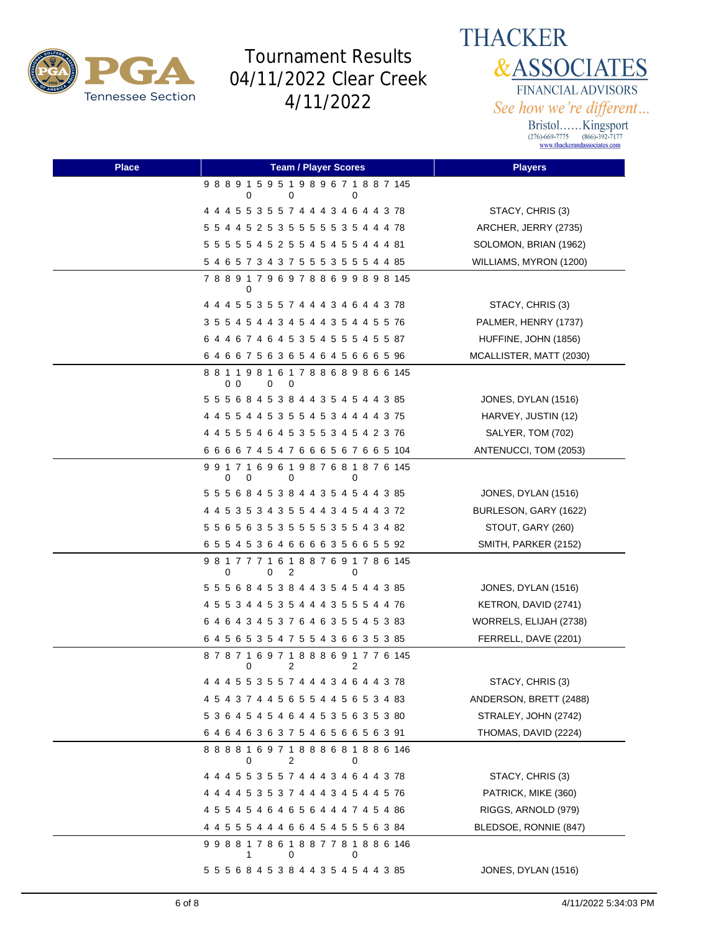

**THACKER &ASSOCIATES** FINANCIAL ADVISORS See how we're different...

| <b>Place</b> | <b>Team / Player Scores</b>                            | <b>Players</b>          |
|--------------|--------------------------------------------------------|-------------------------|
|              | 9 8 8 9 1 5 9 5 1 9 8 9 6 7 1 8 8 7 145<br>0<br>0<br>0 |                         |
|              | 4 4 4 5 5 3 5 5 7 4 4 4 3 4 6 4 4 3 78                 | STACY, CHRIS (3)        |
|              | 5 5 4 4 5 2 5 3 5 5 5 5 5 5 3 5 4 4 4 78               | ARCHER, JERRY (2735)    |
|              | 5 5 5 5 5 4 5 2 5 5 4 5 4 5 5 4 4 4 81                 | SOLOMON, BRIAN (1962)   |
|              | 5 4 6 5 7 3 4 3 7 5 5 5 3 5 5 5 4 4 85                 | WILLIAMS, MYRON (1200)  |
|              | 7 8 8 9 1 7 9 6 9 7 8 8 6 9 9 8 9 8 145<br>0           |                         |
|              | 4 4 4 5 5 3 5 5 7 4 4 4 3 4 6 4 4 3 78                 | STACY, CHRIS (3)        |
|              | 3 5 5 4 5 4 4 3 4 5 4 4 3 5 4 4 5 5 76                 | PALMER, HENRY (1737)    |
|              | 6 4 4 6 7 4 6 4 5 3 5 4 5 5 5 4 5 5 87                 | HUFFINE, JOHN (1856)    |
|              | 64667563654645666596                                   | MCALLISTER, MATT (2030) |
|              | 881198161788689866145<br>00<br>0<br>0                  |                         |
|              | 5 5 5 6 8 4 5 3 8 4 4 3 5 4 5 4 4 3 85                 | JONES, DYLAN (1516)     |
|              | 4 4 5 5 4 4 5 3 5 5 4 5 3 4 4 4 4 3 75                 | HARVEY, JUSTIN (12)     |
|              | 4 4 5 5 5 4 6 4 5 3 5 5 3 4 5 4 2 3 76                 | SALYER, TOM (702)       |
|              | 6 6 6 6 7 4 5 4 7 6 6 6 5 6 7 6 6 5 104                | ANTENUCCI, TOM (2053)   |
|              | 991716961987681876145<br>0<br>0<br>0<br>0              |                         |
|              | 5 5 5 6 8 4 5 3 8 4 4 3 5 4 5 4 4 3 85                 | JONES, DYLAN (1516)     |
|              | 4 4 5 3 5 3 4 3 5 5 4 4 3 4 5 4 4 3 72                 | BURLESON, GARY (1622)   |
|              | 5 5 6 5 6 3 5 3 5 5 5 5 3 5 5 4 3 4 82                 | STOUT, GARY (260)       |
|              | 65545364666635665592                                   | SMITH, PARKER (2152)    |
|              | 981777161887691786145<br>0<br>0<br>2<br>0              |                         |
|              | 5 5 5 6 8 4 5 3 8 4 4 3 5 4 5 4 4 3 85                 | JONES, DYLAN (1516)     |
|              | 4 5 5 3 4 4 5 3 5 4 4 4 3 5 5 5 4 4 76                 | KETRON, DAVID (2741)    |
|              | 6 4 6 4 3 4 5 3 7 6 4 6 3 5 5 4 5 3 83                 | WORRELS, ELIJAH (2738)  |
|              | 6 4 5 6 5 3 5 4 7 5 5 4 3 6 6 3 5 3 85                 | FERRELL, DAVE (2201)    |
|              | 878716971888691776145<br>2<br>2<br>0                   |                         |
|              |                                                        | STACY, CHRIS (3)        |
|              | 4 5 4 3 7 4 4 5 6 5 5 4 4 5 6 5 3 4 83                 | ANDERSON, BRETT (2488)  |
|              | 5 3 6 4 5 4 5 4 6 4 4 5 3 5 6 3 5 3 80                 | STRALEY, JOHN (2742)    |
|              | 6 4 6 4 6 3 6 3 7 5 4 6 5 6 6 5 6 3 91                 | THOMAS, DAVID (2224)    |
|              | 888816971888681886146<br>2<br>0<br>0                   |                         |
|              | 4 4 4 5 5 3 5 5 7 4 4 4 3 4 6 4 4 3 78                 | STACY, CHRIS (3)        |
|              | 4 4 4 4 5 3 5 3 7 4 4 4 3 4 5 4 4 5 76                 | PATRICK, MIKE (360)     |
|              | 4 5 5 4 5 4 6 4 6 5 6 4 4 4 7 4 5 4 86                 | RIGGS, ARNOLD (979)     |
|              | 4 4 5 5 5 4 4 4 6 6 4 5 4 5 5 5 6 3 84                 | BLEDSOE, RONNIE (847)   |
|              | 998817861887781886146<br>0<br>0<br>1                   |                         |
|              | 5 5 5 6 8 4 5 3 8 4 4 3 5 4 5 4 4 3 85                 | JONES, DYLAN (1516)     |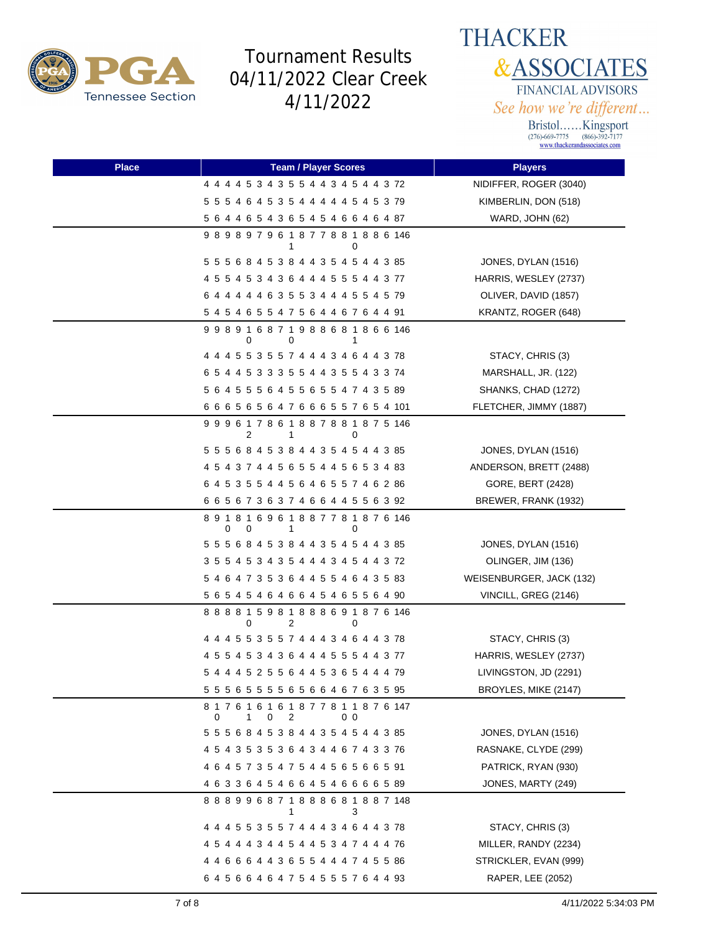



| <b>Place</b> | <b>Team / Player Scores</b>                                                   | <b>Players</b>           |
|--------------|-------------------------------------------------------------------------------|--------------------------|
|              | 4 4 4 4 5 3 4 3 5 5 4 4 3 4 5 4 4 3 72                                        | NIDIFFER, ROGER (3040)   |
|              | 5 5 5 4 6 4 5 3 5 4 4 4 4 4 5 4 5 3 79                                        | KIMBERLIN, DON (518)     |
|              | 5 6 4 4 6 5 4 3 6 5 4 5 4 6 6 4 6 4 87                                        | WARD, JOHN (62)          |
|              | 989897961877881886146<br>1<br>0                                               |                          |
|              | 5 5 5 6 8 4 5 3 8 4 4 3 5 4 5 4 4 3 85                                        | JONES, DYLAN (1516)      |
|              | 4 5 5 4 5 3 4 3 6 4 4 4 5 5 5 4 4 3 77                                        | HARRIS, WESLEY (2737)    |
|              | 6 4 4 4 4 4 6 3 5 5 3 4 4 4 5 5 4 5 79                                        | OLIVER, DAVID (1857)     |
|              | 5 4 5 4 6 5 5 4 7 5 6 4 4 6 7 6 4 4 91                                        | KRANTZ, ROGER (648)      |
|              | 998916871988681866146<br>0<br>0<br>1                                          |                          |
|              | 4 4 4 5 5 3 5 5 7 4 4 4 3 4 6 4 4 3 78                                        | STACY, CHRIS (3)         |
|              | 6 5 4 4 5 3 3 3 5 5 4 4 3 5 5 4 3 3 74                                        | MARSHALL, JR. (122)      |
|              | 5 6 4 5 5 5 6 4 5 5 6 5 5 4 7 4 3 5 89                                        | SHANKS, CHAD (1272)      |
|              | 6 6 6 5 6 5 6 4 7 6 6 6 5 5 7 6 5 4 101                                       | FLETCHER, JIMMY (1887)   |
|              | 999617861887881875146<br>2<br>1<br>0                                          |                          |
|              | 5 5 5 6 8 4 5 3 8 4 4 3 5 4 5 4 4 3 85                                        | JONES, DYLAN (1516)      |
|              | 4 5 4 3 7 4 4 5 6 5 5 4 4 5 6 5 3 4 83                                        | ANDERSON, BRETT (2488)   |
|              | 6 4 5 3 5 5 4 4 5 6 4 6 5 5 7 4 6 2 86                                        | GORE, BERT (2428)        |
|              | 6 6 5 6 7 3 6 3 7 4 6 6 4 4 5 5 6 3 92                                        | BREWER, FRANK (1932)     |
|              | 8 9 1 8 1 6 9 6 1 8 8 7 7 8 1 8 7 6 146<br>0<br>0<br>1<br>0                   |                          |
|              | 5 5 5 6 8 4 5 3 8 4 4 3 5 4 5 4 4 3 85                                        | JONES, DYLAN (1516)      |
|              | 3 5 5 4 5 3 4 3 5 4 4 4 3 4 5 4 4 3 72                                        | OLINGER, JIM (136)       |
|              | 5 4 6 4 7 3 5 3 6 4 4 5 5 4 6 4 3 5 83                                        | WEISENBURGER, JACK (132) |
|              | 5 6 5 4 5 4 6 4 6 6 4 5 4 6 5 5 6 4 90                                        | VINCILL, GREG (2146)     |
|              | 8 8 8 8 1 5 9 8 1 8 8 8 6 9 1 8 7 6 146<br>2<br>0<br>0                        |                          |
|              | 4 4 4 5 5 3 5 5 7 4 4 4 3 4 6 4 4 3 78                                        | STACY, CHRIS (3)         |
|              | 4 5 5 4 5 3 4 3 6 4 4 4 5 5 5 4 4 3 77                                        | HARRIS, WESLEY (2737)    |
|              | 5 4 4 4 5 2 5 5 6 4 4 5 3 6 5 4 4 4 79                                        | LIVINGSTON, JD (2291)    |
|              | 5 5 5 6 5 5 5 5 6 5 6 6 4 6 7 6 3 5 95                                        | BROYLES, MIKE (2147)     |
|              | 8 1 7 6 1 6 1 6 1 8 7 7 8 1 1 8 7 6 147<br>2<br>1<br>0 <sub>0</sub><br>0<br>0 |                          |
|              | 5 5 5 6 8 4 5 3 8 4 4 3 5 4 5 4 4 3 85                                        | JONES, DYLAN (1516)      |
|              | 4 5 4 3 5 3 5 3 6 4 3 4 4 6 7 4 3 3 76                                        | RASNAKE, CLYDE (299)     |
|              | 4 6 4 5 7 3 5 4 7 5 4 4 5 6 5 6 6 5 91                                        | PATRICK, RYAN (930)      |
|              | 4 6 3 3 6 4 5 4 6 6 4 5 4 6 6 6 6 5 89                                        | JONES, MARTY (249)       |
|              | 888996871888681887148<br>3                                                    |                          |
|              | 4 4 4 5 5 3 5 5 7 4 4 4 3 4 6 4 4 3 78                                        | STACY, CHRIS (3)         |
|              | 4 5 4 4 4 3 4 4 5 4 4 5 3 4 7 4 4 4 76                                        | MILLER, RANDY (2234)     |
|              | 4 4 6 6 6 4 4 3 6 5 5 4 4 4 7 4 5 5 86                                        | STRICKLER, EVAN (999)    |
|              | 6 4 5 6 6 4 6 4 7 5 4 5 5 5 7 6 4 4 93                                        | RAPER, LEE (2052)        |